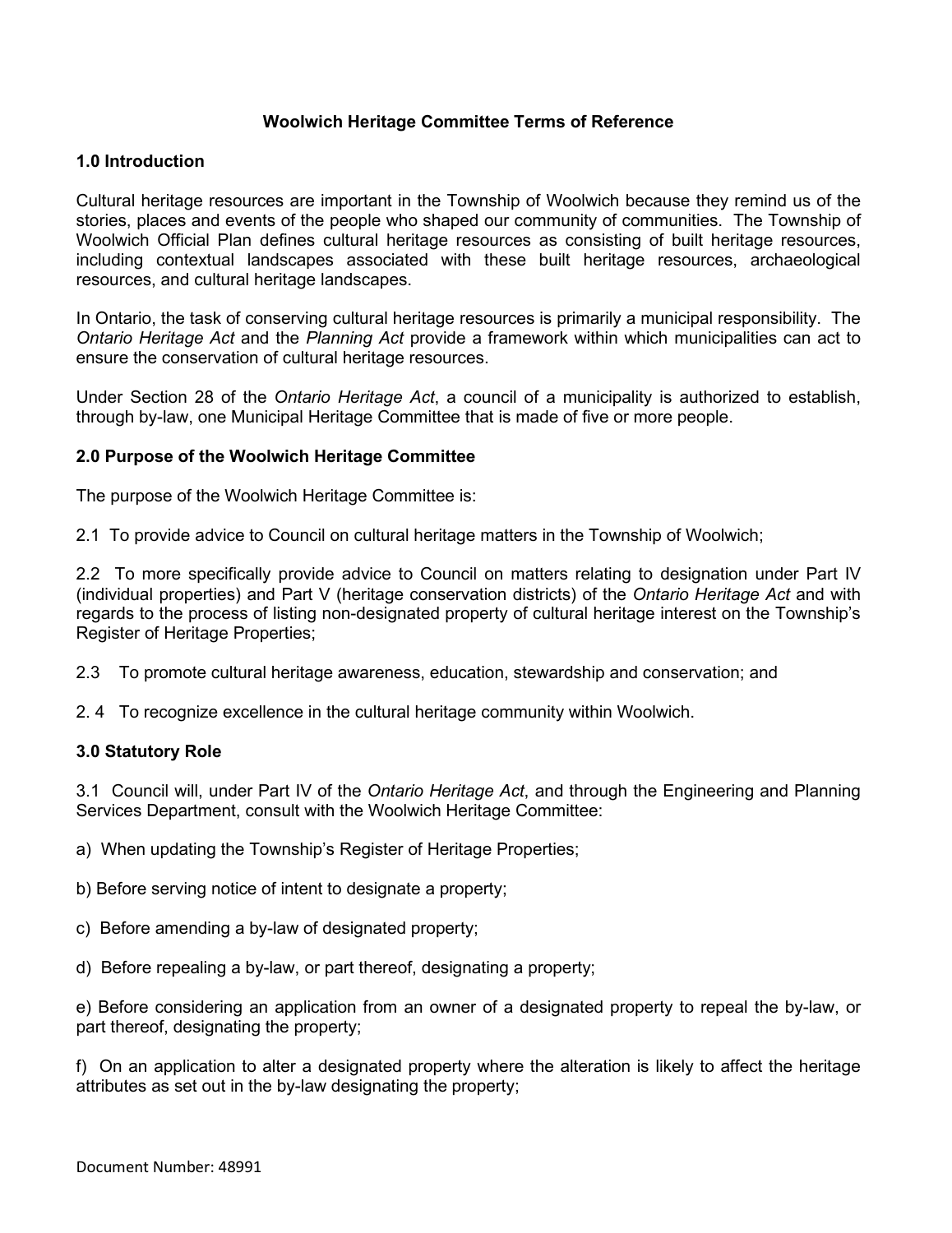# **Woolwich Heritage Committee Terms of Reference**

#### **1.0 Introduction**

Cultural heritage resources are important in the Township of Woolwich because they remind us of the stories, places and events of the people who shaped our community of communities. The Township of Woolwich Official Plan defines cultural heritage resources as consisting of built heritage resources, including contextual landscapes associated with these built heritage resources, archaeological resources, and cultural heritage landscapes.

In Ontario, the task of conserving cultural heritage resources is primarily a municipal responsibility. The *Ontario Heritage Act* and the *Planning Act* provide a framework within which municipalities can act to ensure the conservation of cultural heritage resources.

Under Section 28 of the *Ontario Heritage Act*, a council of a municipality is authorized to establish, through by-law, one Municipal Heritage Committee that is made of five or more people.

### **2.0 Purpose of the Woolwich Heritage Committee**

The purpose of the Woolwich Heritage Committee is:

2.1 To provide advice to Council on cultural heritage matters in the Township of Woolwich;

2.2 To more specifically provide advice to Council on matters relating to designation under Part IV (individual properties) and Part V (heritage conservation districts) of the *Ontario Heritage Act* and with regards to the process of listing non-designated property of cultural heritage interest on the Township's Register of Heritage Properties;

2.3 To promote cultural heritage awareness, education, stewardship and conservation; and

2. 4 To recognize excellence in the cultural heritage community within Woolwich.

#### **3.0 Statutory Role**

3.1 Council will, under Part IV of the *Ontario Heritage Act*, and through the Engineering and Planning Services Department, consult with the Woolwich Heritage Committee:

a) When updating the Township's Register of Heritage Properties;

b) Before serving notice of intent to designate a property;

c) Before amending a by-law of designated property;

d) Before repealing a by-law, or part thereof, designating a property;

e) Before considering an application from an owner of a designated property to repeal the by-law, or part thereof, designating the property;

f) On an application to alter a designated property where the alteration is likely to affect the heritage attributes as set out in the by-law designating the property;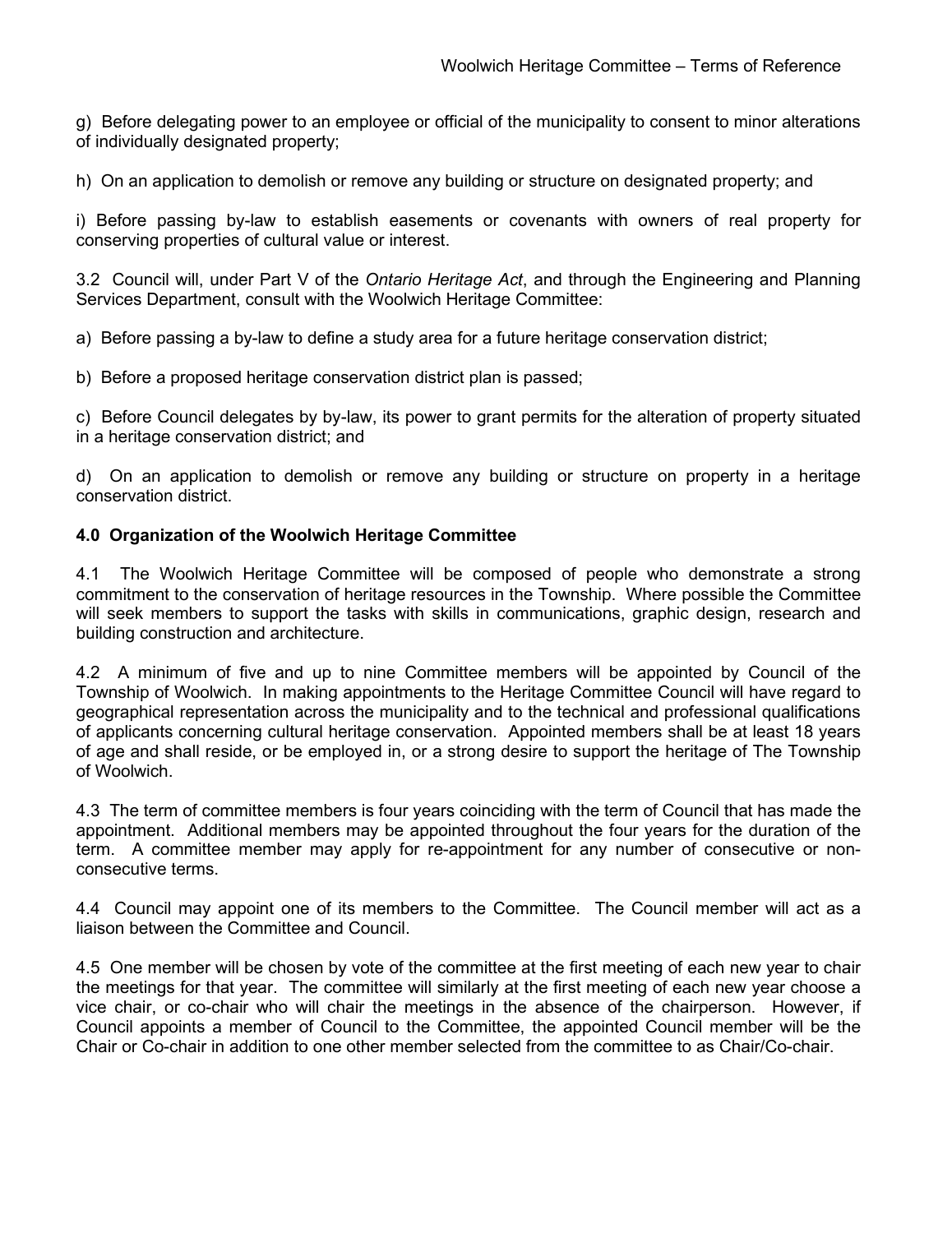g) Before delegating power to an employee or official of the municipality to consent to minor alterations of individually designated property;

h) On an application to demolish or remove any building or structure on designated property; and

i) Before passing by-law to establish easements or covenants with owners of real property for conserving properties of cultural value or interest.

3.2 Council will, under Part V of the *Ontario Heritage Act*, and through the Engineering and Planning Services Department, consult with the Woolwich Heritage Committee:

a) Before passing a by-law to define a study area for a future heritage conservation district;

b) Before a proposed heritage conservation district plan is passed;

c) Before Council delegates by by-law, its power to grant permits for the alteration of property situated in a heritage conservation district; and

d) On an application to demolish or remove any building or structure on property in a heritage conservation district.

# **4.0 Organization of the Woolwich Heritage Committee**

4.1 The Woolwich Heritage Committee will be composed of people who demonstrate a strong commitment to the conservation of heritage resources in the Township. Where possible the Committee will seek members to support the tasks with skills in communications, graphic design, research and building construction and architecture.

4.2 A minimum of five and up to nine Committee members will be appointed by Council of the Township of Woolwich. In making appointments to the Heritage Committee Council will have regard to geographical representation across the municipality and to the technical and professional qualifications of applicants concerning cultural heritage conservation. Appointed members shall be at least 18 years of age and shall reside, or be employed in, or a strong desire to support the heritage of The Township of Woolwich.

4.3 The term of committee members is four years coinciding with the term of Council that has made the appointment. Additional members may be appointed throughout the four years for the duration of the term. A committee member may apply for re-appointment for any number of consecutive or nonconsecutive terms.

4.4 Council may appoint one of its members to the Committee. The Council member will act as a liaison between the Committee and Council.

4.5 One member will be chosen by vote of the committee at the first meeting of each new year to chair the meetings for that year. The committee will similarly at the first meeting of each new year choose a vice chair, or co-chair who will chair the meetings in the absence of the chairperson. However, if Council appoints a member of Council to the Committee, the appointed Council member will be the Chair or Co-chair in addition to one other member selected from the committee to as Chair/Co-chair.